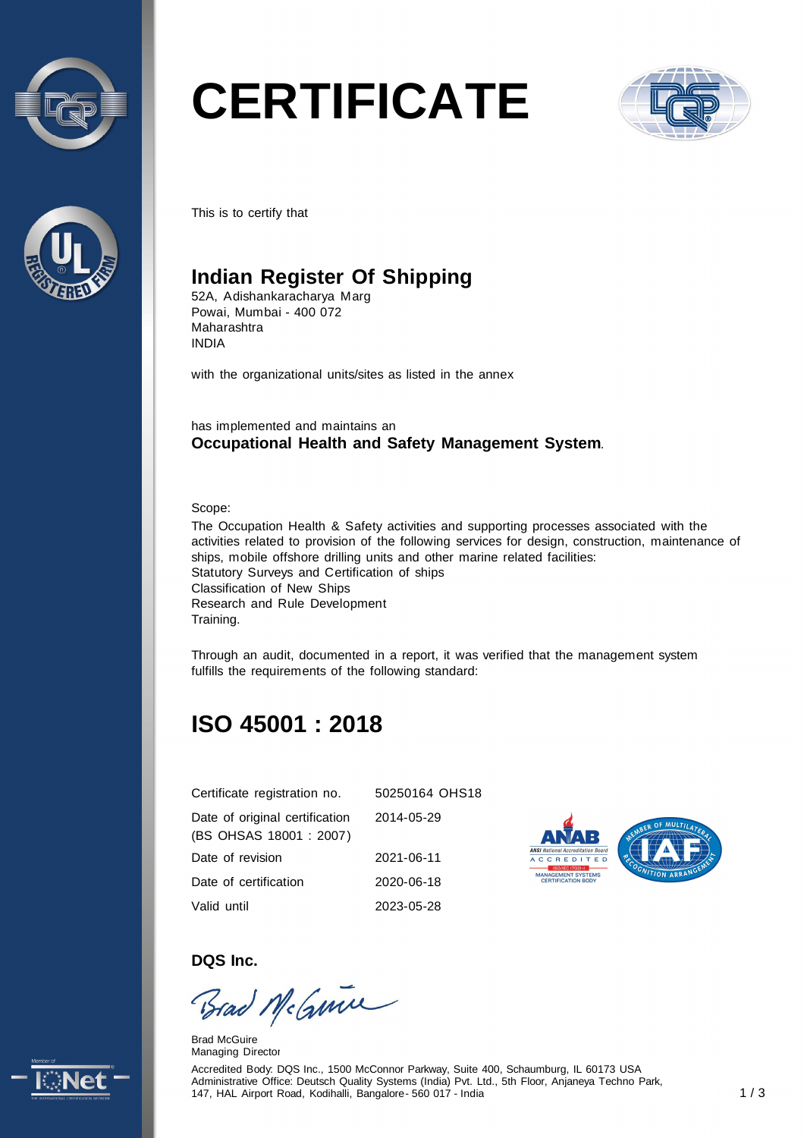



# **CERTIFICATE**



This is to certify that

## **Indian Register Of Shipping**

52A, Adishankaracharya Marg Powai, Mumbai - 400 072 Maharashtra INDIA

with the organizational units/sites as listed in the annex

has implemented and maintains an **Occupational Health and Safety Management System**.

Scope:

The Occupation Health & Safety activities and supporting processes associated with the activities related to provision of the following services for design, construction, maintenance of ships, mobile offshore drilling units and other marine related facilities: Statutory Surveys and Certification of ships Classification of New Ships Research and Rule Development Training.

Through an audit, documented in a report, it was verified that the management system fulfills the requirements of the following standard:

# **ISO 45001 : 2018**

| Certificate registration no.                              | 50250164 OHS18 |
|-----------------------------------------------------------|----------------|
| Date of original certification<br>(BS OHSAS 18001 : 2007) | 2014-05-29     |
| Date of revision                                          | 2021-06-11     |
| Date of certification                                     | 2020-06-18     |
| Valid until                                               | 2023-05-28     |



**DQS Inc.** 

Brad McGuine

Brad McGuire Managing Director

Accredited Body: DQS Inc., 1500 McConnor Parkway, Suite 400, Schaumburg, IL 60173 USA Administrative Office: Deutsch Quality Systems (India) Pvt. Ltd., 5th Floor, Anjaneya Techno Park, 147, HAL Airport Road, Kodihalli, Bangalore - 560 017 - India 1 / 3

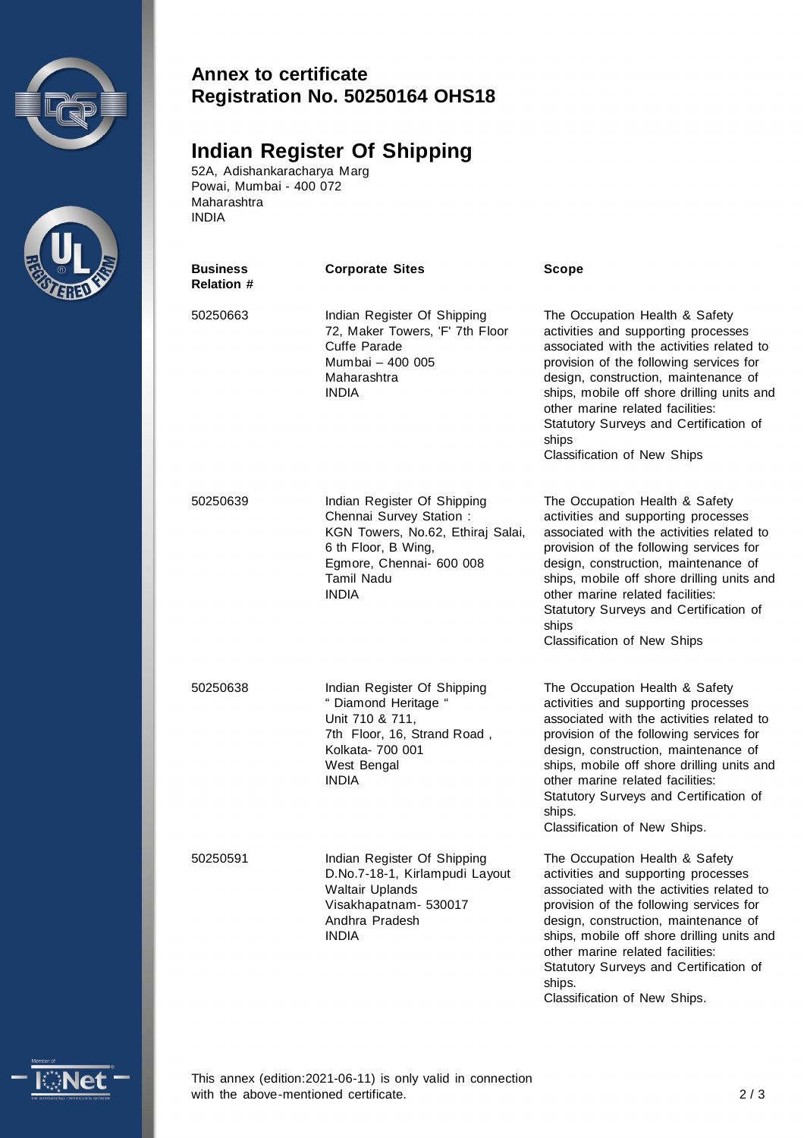



#### **Annex to certificate Registration No. 50250164 OHS18**

## **Indian Register Of Shipping**

52A, Adishankaracharya Marg Powai, Mumbai - 400 072 Maharashtra INDIA

| Business<br><b>Relation #</b> | <b>Corporate Sites</b>                                                                                                                                                               | <b>Scope</b>                                                                                                                                                                                                                                                                                                                                                                |
|-------------------------------|--------------------------------------------------------------------------------------------------------------------------------------------------------------------------------------|-----------------------------------------------------------------------------------------------------------------------------------------------------------------------------------------------------------------------------------------------------------------------------------------------------------------------------------------------------------------------------|
| 50250663                      | Indian Register Of Shipping<br>72, Maker Towers, 'F' 7th Floor<br>Cuffe Parade<br>Mumbai - 400 005<br>Maharashtra<br><b>INDIA</b>                                                    | The Occupation Health & Safety<br>activities and supporting processes<br>associated with the activities related to<br>provision of the following services for<br>design, construction, maintenance of<br>ships, mobile off shore drilling units and<br>other marine related facilities:<br>Statutory Surveys and Certification of<br>ships<br>Classification of New Ships   |
| 50250639                      | Indian Register Of Shipping<br>Chennai Survey Station :<br>KGN Towers, No.62, Ethiraj Salai,<br>6 th Floor, B Wing,<br>Egmore, Chennai- 600 008<br><b>Tamil Nadu</b><br><b>INDIA</b> | The Occupation Health & Safety<br>activities and supporting processes<br>associated with the activities related to<br>provision of the following services for<br>design, construction, maintenance of<br>ships, mobile off shore drilling units and<br>other marine related facilities:<br>Statutory Surveys and Certification of<br>ships<br>Classification of New Ships   |
| 50250638                      | Indian Register Of Shipping<br>" Diamond Heritage "<br>Unit 710 & 711,<br>7th Floor, 16, Strand Road,<br>Kolkata- 700 001<br>West Bengal<br><b>INDIA</b>                             | The Occupation Health & Safety<br>activities and supporting processes<br>associated with the activities related to<br>provision of the following services for<br>design, construction, maintenance of<br>ships, mobile off shore drilling units and<br>other marine related facilities:<br>Statutory Surveys and Certification of<br>ships.<br>Classification of New Ships. |
| 50250591                      | Indian Register Of Shipping<br>D.No.7-18-1, Kirlampudi Layout<br><b>Waltair Uplands</b><br>Visakhapatnam- 530017<br>Andhra Pradesh<br><b>INDIA</b>                                   | The Occupation Health & Safety<br>activities and supporting processes<br>associated with the activities related to<br>provision of the following services for<br>design, construction, maintenance of<br>ships, mobile off shore drilling units and<br>other marine related facilities:<br>Statutory Surveys and Certification of<br>ships.<br>Classification of New Ships. |



This annex (edition:2021-06-11) is only valid in connection with the above-mentioned certificate. 2/3